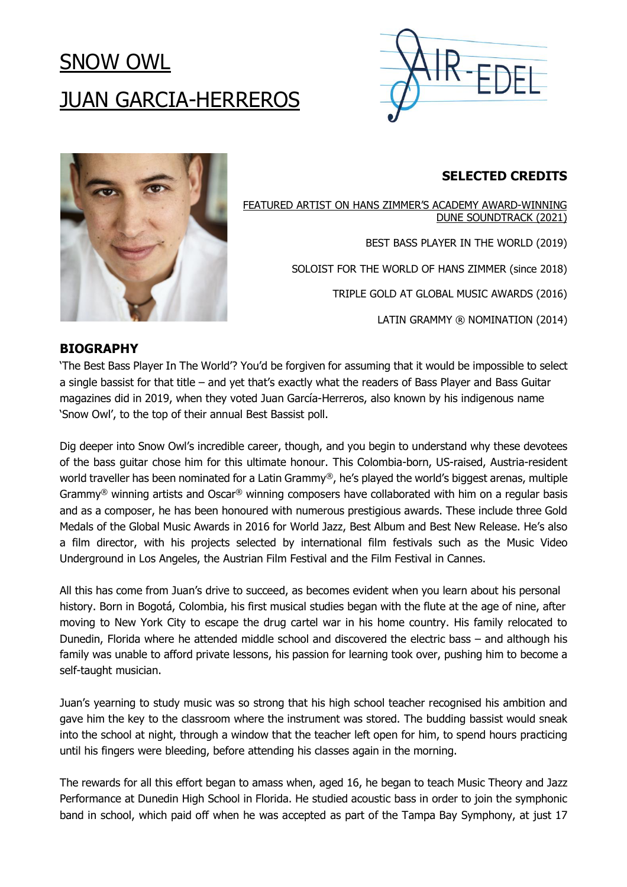# SNOW OWL JUAN GARCIA-HERREROS





# **SELECTED CREDITS**

FEATURED ARTIST ON HANS ZIMMER'S ACADEMY [AWARD-WINNING](https://youtu.be/AgzE2TeXCl0) DUNE [SOUNDTRACK](https://youtu.be/AgzE2TeXCl0) (2021)

BEST BASS PLAYER IN THE WORLD (2019)

SOLOIST FOR THE WORLD OF HANS ZIMMER (since 2018)

TRIPLE GOLD AT GLOBAL MUSIC AWARDS (2016)

LATIN GRAMMY ® NOMINATION (2014)

# **BIOGRAPHY**

'The Best Bass Player In The World'? You'd be forgiven for assuming that it would be impossible to select a single bassist for that title – and yet that's exactly what the readers of Bass Player and Bass Guitar magazines did in 2019, when they voted Juan García-Herreros, also known by his indigenous name 'Snow Owl', to the top of their annual Best Bassist poll.

Dig deeper into Snow Owl's incredible career, though, and you begin to understand why these devotees of the bass guitar chose him for this ultimate honour. This Colombia-born, US-raised, Austria-resident world traveller has been nominated for a Latin Grammy®, he's played the world's biggest arenas, multiple Grammy® winning artists and Oscar® winning composers have collaborated with him on a regular basis and as a composer, he has been honoured with numerous prestigious awards. These include three Gold Medals of the Global Music Awards in 2016 for World Jazz, Best Album and Best New Release. He's also a film director, with his projects selected by international film festivals such as the Music Video Underground in Los Angeles, the Austrian Film Festival and the Film Festival in Cannes.

All this has come from Juan's drive to succeed, as becomes evident when you learn about his personal history. Born in Bogotá, Colombia, his first musical studies began with the flute at the age of nine, after moving to New York City to escape the drug cartel war in his home country. His family relocated to Dunedin, Florida where he attended middle school and discovered the electric bass – and although his family was unable to afford private lessons, his passion for learning took over, pushing him to become a self-taught musician.

Juan's yearning to study music was so strong that his high school teacher recognised his ambition and gave him the key to the classroom where the instrument was stored. The budding bassist would sneak into the school at night, through a window that the teacher left open for him, to spend hours practicing until his fingers were bleeding, before attending his classes again in the morning.

The rewards for all this effort began to amass when, aged 16, he began to teach Music Theory and Jazz Performance at Dunedin High School in Florida. He studied acoustic bass in order to join the symphonic band in school, which paid off when he was accepted as part of the Tampa Bay Symphony, at just 17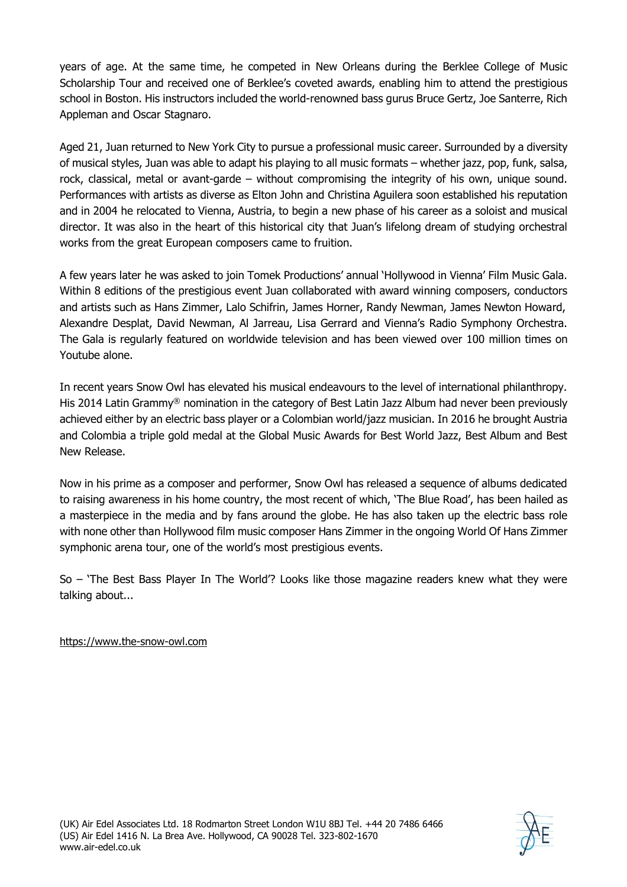years of age. At the same time, he competed in New Orleans during the Berklee College of Music Scholarship Tour and received one of Berklee's coveted awards, enabling him to attend the prestigious school in Boston. His instructors included the world-renowned bass gurus Bruce Gertz, Joe Santerre, Rich Appleman and Oscar Stagnaro.

Aged 21, Juan returned to New York City to pursue a professional music career. Surrounded by a diversity of musical styles, Juan was able to adapt his playing to all music formats – whether jazz, pop, funk, salsa, rock, classical, metal or avant-garde – without compromising the integrity of his own, unique sound. Performances with artists as diverse as Elton John and Christina Aguilera soon established his reputation and in 2004 he relocated to Vienna, Austria, to begin a new phase of his career as a soloist and musical director. It was also in the heart of this historical city that Juan's lifelong dream of studying orchestral works from the great European composers came to fruition.

A few years later he was asked to join Tomek Productions' annual 'Hollywood in Vienna' Film Music Gala. Within 8 editions of the prestigious event Juan collaborated with award winning composers, conductors and artists such as Hans Zimmer, Lalo Schifrin, James Horner, Randy Newman, James Newton Howard, Alexandre Desplat, David Newman, Al Jarreau, Lisa Gerrard and Vienna's Radio Symphony Orchestra. The Gala is regularly featured on worldwide television and has been viewed over 100 million times on Youtube alone.

In recent years Snow Owl has elevated his musical endeavours to the level of international philanthropy. His 2014 Latin Grammy<sup>®</sup> nomination in the category of Best Latin Jazz Album had never been previously achieved either by an electric bass player or a Colombian world/jazz musician. In 2016 he brought Austria and Colombia a triple gold medal at the Global Music Awards for Best World Jazz, Best Album and Best New Release.

Now in his prime as a composer and performer, Snow Owl has released a sequence of albums dedicated to raising awareness in his home country, the most recent of which, 'The Blue Road', has been hailed as a masterpiece in the media and by fans around the globe. He has also taken up the electric bass role with none other than Hollywood film music composer Hans Zimmer in the ongoing World Of Hans Zimmer symphonic arena tour, one of the world's most prestigious events.

So – 'The Best Bass Player In The World'? Looks like those magazine readers knew what they were talking about...

# [https://www.the-snow-owl.com](https://www.the-snow-owl.com/)

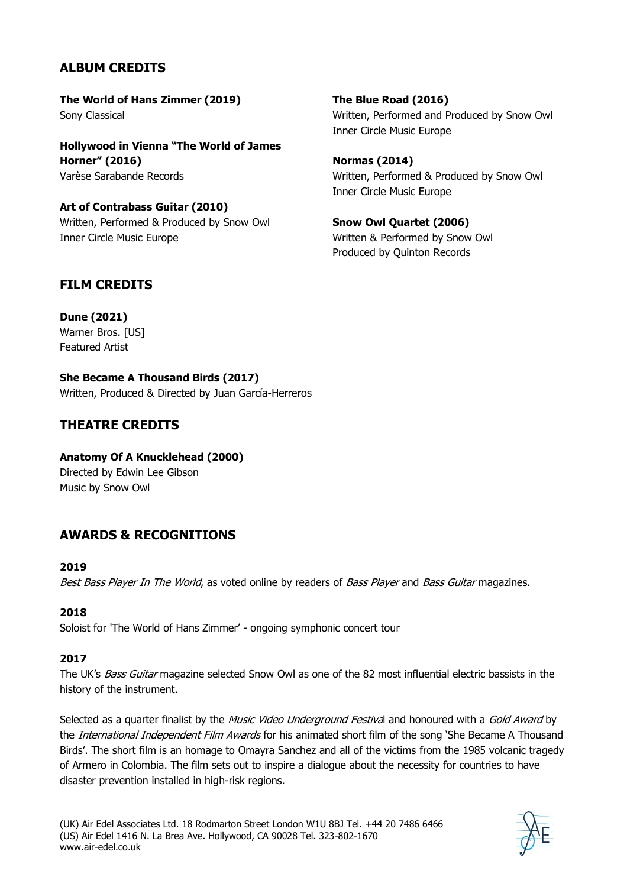# **ALBUM CREDITS**

**The World of Hans Zimmer (2019)** Sony Classical

**Hollywood in Vienna "The World of James Horner" (2016)** Varèse Sarabande Records

**Art of Contrabass Guitar (2010)** Written, Performed & Produced by Snow Owl Inner Circle Music Europe

**The Blue Road (2016)** Written, Performed and Produced by Snow Owl Inner Circle Music Europe

**Normas (2014)** Written, Performed & Produced by Snow Owl Inner Circle Music Europe

**Snow Owl Quartet (2006)** Written & Performed by Snow Owl Produced by Quinton Records

# **FILM CREDITS**

**Dune (2021)** Warner Bros. [US] Featured Artist

**She Became A Thousand Birds (2017)** Written, Produced & Directed by Juan García-Herreros

# **THEATRE CREDITS**

**Anatomy Of A Knucklehead (2000)** Directed by Edwin Lee Gibson Music by Snow Owl

# **AWARDS & RECOGNITIONS**

#### **2019**

Best Bass Player In The World, as voted online by readers of Bass Player and Bass Guitar magazines.

#### **2018**

Soloist for 'The World of Hans Zimmer' - ongoing symphonic concert tour

#### **2017**

The UK's Bass Guitar magazine selected Snow Owl as one of the 82 most influential electric bassists in the history of the instrument.

Selected as a quarter finalist by the Music Video Underground Festival and honoured with a Gold Award by the *International Independent Film Awards* for his animated short film of the song 'She Became A Thousand Birds'. The short film is an homage to Omayra Sanchez and all of the victims from the 1985 volcanic tragedy of Armero in Colombia. The film sets out to inspire a dialogue about the necessity for countries to have disaster prevention installed in high-risk regions.